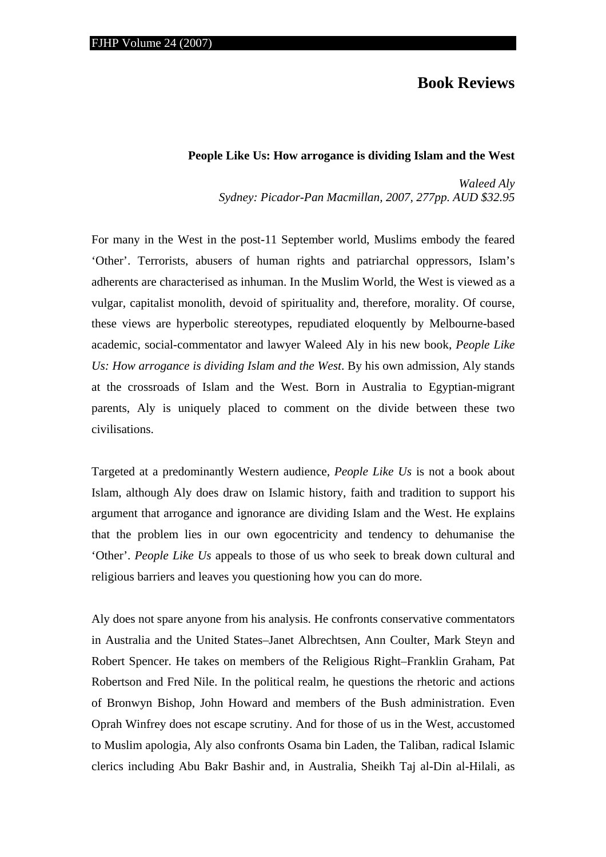## **Book Reviews**

## **People Like Us: How arrogance is dividing Islam and the West**

*Waleed Aly Sydney: Picador-Pan Macmillan, 2007, 277pp. AUD \$32.95* 

For many in the West in the post-11 September world, Muslims embody the feared 'Other'. Terrorists, abusers of human rights and patriarchal oppressors, Islam's adherents are characterised as inhuman. In the Muslim World, the West is viewed as a vulgar, capitalist monolith, devoid of spirituality and, therefore, morality. Of course, these views are hyperbolic stereotypes, repudiated eloquently by Melbourne-based academic, social-commentator and lawyer Waleed Aly in his new book, *People Like Us: How arrogance is dividing Islam and the West*. By his own admission, Aly stands at the crossroads of Islam and the West. Born in Australia to Egyptian-migrant parents, Aly is uniquely placed to comment on the divide between these two civilisations.

Targeted at a predominantly Western audience, *People Like Us* is not a book about Islam, although Aly does draw on Islamic history, faith and tradition to support his argument that arrogance and ignorance are dividing Islam and the West. He explains that the problem lies in our own egocentricity and tendency to dehumanise the 'Other'. *People Like Us* appeals to those of us who seek to break down cultural and religious barriers and leaves you questioning how you can do more.

Aly does not spare anyone from his analysis. He confronts conservative commentators in Australia and the United States–Janet Albrechtsen, Ann Coulter, Mark Steyn and Robert Spencer. He takes on members of the Religious Right–Franklin Graham, Pat Robertson and Fred Nile. In the political realm, he questions the rhetoric and actions of Bronwyn Bishop, John Howard and members of the Bush administration. Even Oprah Winfrey does not escape scrutiny. And for those of us in the West, accustomed to Muslim apologia, Aly also confronts Osama bin Laden, the Taliban, radical Islamic clerics including Abu Bakr Bashir and, in Australia, Sheikh Taj al-Din al-Hilali, as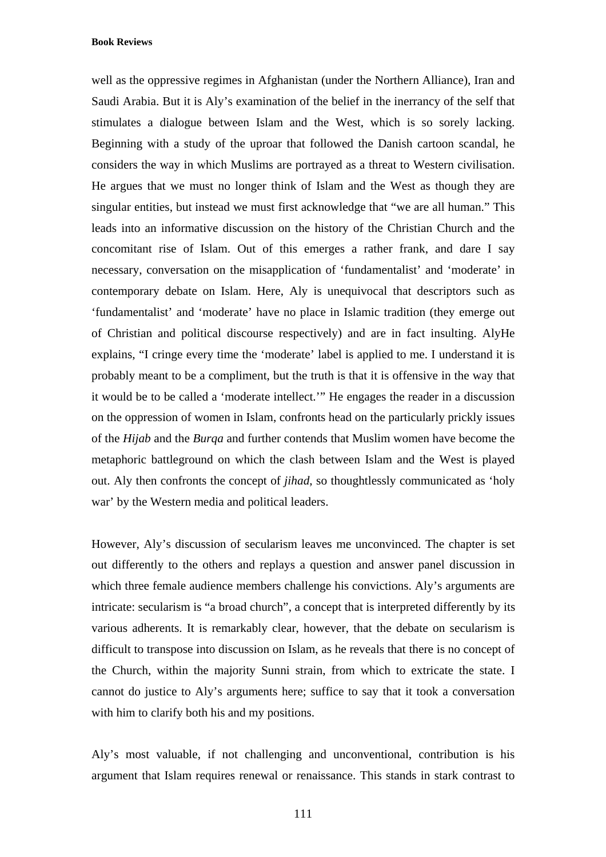**Book Reviews** 

well as the oppressive regimes in Afghanistan (under the Northern Alliance), Iran and Saudi Arabia. But it is Aly's examination of the belief in the inerrancy of the self that stimulates a dialogue between Islam and the West, which is so sorely lacking. Beginning with a study of the uproar that followed the Danish cartoon scandal, he considers the way in which Muslims are portrayed as a threat to Western civilisation. He argues that we must no longer think of Islam and the West as though they are singular entities, but instead we must first acknowledge that "we are all human." This leads into an informative discussion on the history of the Christian Church and the concomitant rise of Islam. Out of this emerges a rather frank, and dare I say necessary, conversation on the misapplication of 'fundamentalist' and 'moderate' in contemporary debate on Islam. Here, Aly is unequivocal that descriptors such as 'fundamentalist' and 'moderate' have no place in Islamic tradition (they emerge out of Christian and political discourse respectively) and are in fact insulting. AlyHe explains, "I cringe every time the 'moderate' label is applied to me. I understand it is probably meant to be a compliment, but the truth is that it is offensive in the way that it would be to be called a 'moderate intellect.'" He engages the reader in a discussion on the oppression of women in Islam, confronts head on the particularly prickly issues of the *Hijab* and the *Burqa* and further contends that Muslim women have become the metaphoric battleground on which the clash between Islam and the West is played out. Aly then confronts the concept of *jihad*, so thoughtlessly communicated as 'holy war' by the Western media and political leaders.

However, Aly's discussion of secularism leaves me unconvinced. The chapter is set out differently to the others and replays a question and answer panel discussion in which three female audience members challenge his convictions. Aly's arguments are intricate: secularism is "a broad church", a concept that is interpreted differently by its various adherents. It is remarkably clear, however, that the debate on secularism is difficult to transpose into discussion on Islam, as he reveals that there is no concept of the Church, within the majority Sunni strain, from which to extricate the state. I cannot do justice to Aly's arguments here; suffice to say that it took a conversation with him to clarify both his and my positions.

Aly's most valuable, if not challenging and unconventional, contribution is his argument that Islam requires renewal or renaissance. This stands in stark contrast to